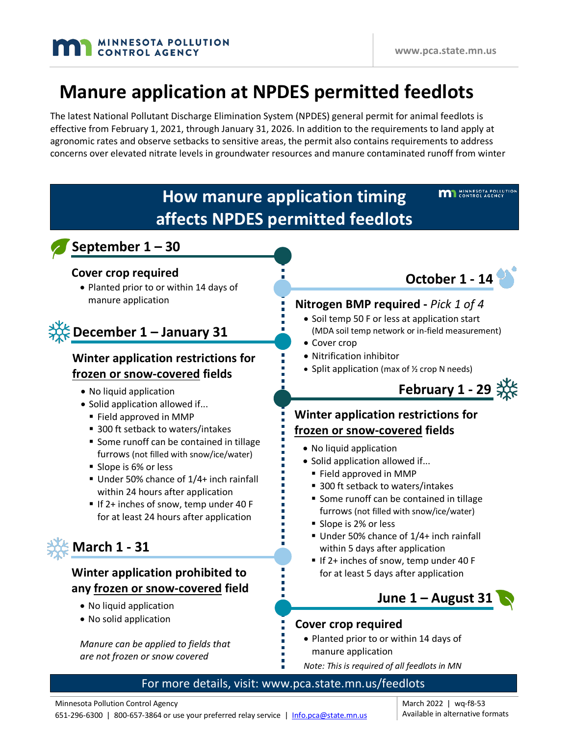# **Manure application at NPDES permitted feedlots**

The latest National Pollutant Discharge Elimination System (NPDES) general permit for animal feedlots is effective from February 1, 2021, through January 31, 2026. In addition to the requirements to land apply at agronomic rates and observe setbacks to sensitive areas, the permit also contains requirements to address concerns over elevated nitrate levels in groundwater resources and manure contaminated runoff from winter



March 2022 | wq-f8-53 Available in alternative formats